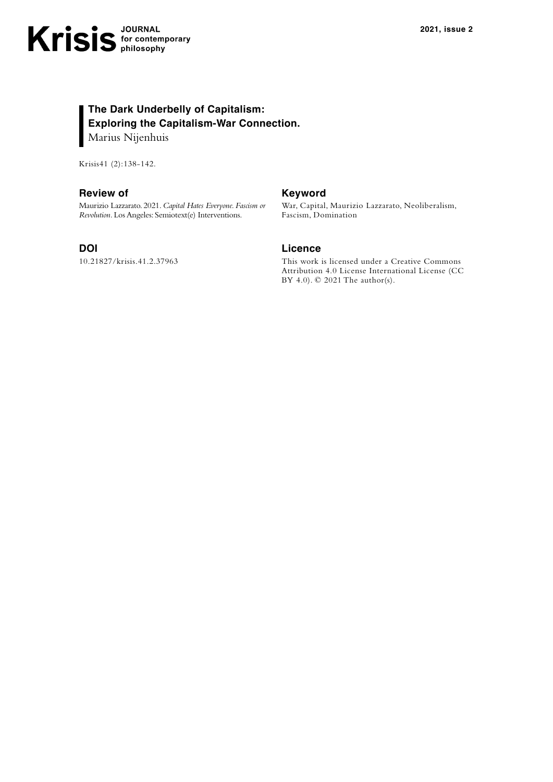# **The Dark Underbelly of Capitalism: Exploring the Capitalism-War Connection.** Marius Nijenhuis

Krisis41 (2):138-142.

## **Review of**

Maurizio Lazzarato. 2021. *Capital Hates Everyone. Fascism or Revolution.* Los Angeles: Semiotext(e) Interventions.

#### **DOI**

10.21827/krisis.41.2.37963

# **Keyword**

War, Capital, Maurizio Lazzarato, Neoliberalism, Fascism, Domination

# **Licence**

This work is licensed under a Creative Commons Attribution 4.0 License International License (CC BY 4.0). © 2021 The author(s).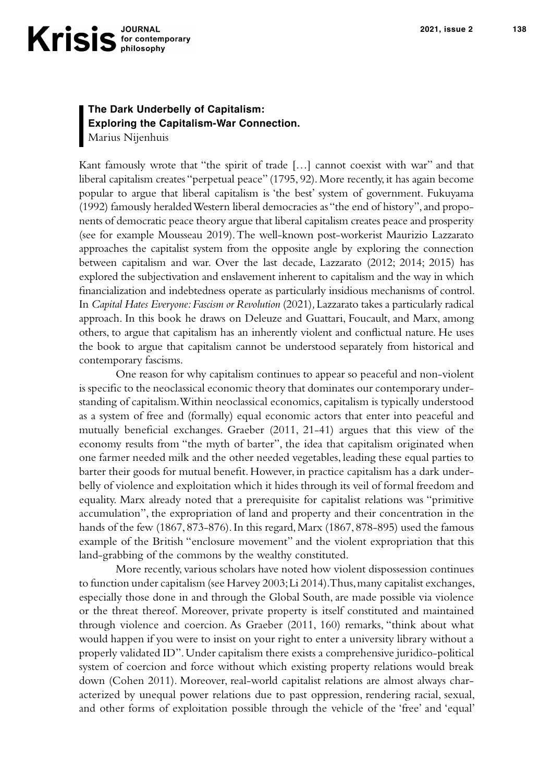# **The Dark Underbelly of Capitalism: Exploring the Capitalism-War Connection.** Marius Nijenhuis

Kant famously wrote that "the spirit of trade […] cannot coexist with war" and that liberal capitalism creates "perpetual peace" (1795, 92). More recently, it has again become popular to argue that liberal capitalism is 'the best' system of government. Fukuyama (1992) famously heralded Western liberal democracies as "the end of history", and proponents of democratic peace theory argue that liberal capitalism creates peace and prosperity (see for example Mousseau 2019). The well-known post-workerist Maurizio Lazzarato approaches the capitalist system from the opposite angle by exploring the connection between capitalism and war. Over the last decade, Lazzarato (2012; 2014; 2015) has explored the subjectivation and enslavement inherent to capitalism and the way in which !nancialization and indebtedness operate as particularly insidious mechanisms of control. In *Capital Hates Everyone: Fascism or Revolution* (2021)*,* Lazzarato takes a particularly radical approach. In this book he draws on Deleuze and Guattari, Foucault, and Marx, among others, to argue that capitalism has an inherently violent and conflictual nature. He uses the book to argue that capitalism cannot be understood separately from historical and contemporary fascisms.

One reason for why capitalism continues to appear so peaceful and non-violent is specific to the neoclassical economic theory that dominates our contemporary understanding of capitalism. Within neoclassical economics, capitalism is typically understood as a system of free and (formally) equal economic actors that enter into peaceful and mutually beneficial exchanges. Graeber  $(2011, 21-41)$  argues that this view of the economy results from "the myth of barter", the idea that capitalism originated when one farmer needed milk and the other needed vegetables, leading these equal parties to barter their goods for mutual benefit. However, in practice capitalism has a dark underbelly of violence and exploitation which it hides through its veil of formal freedom and equality. Marx already noted that a prerequisite for capitalist relations was "primitive accumulation", the expropriation of land and property and their concentration in the hands of the few (1867, 873-876). In this regard, Marx (1867, 878-895) used the famous example of the British "enclosure movement" and the violent expropriation that this land-grabbing of the commons by the wealthy constituted.

More recently, various scholars have noted how violent dispossession continues to function under capitalism (see Harvey 2003; Li 2014). Thus, many capitalist exchanges, especially those done in and through the Global South, are made possible via violence or the threat thereof. Moreover, private property is itself constituted and maintained through violence and coercion. As Graeber (2011, 160) remarks, "think about what would happen if you were to insist on your right to enter a university library without a properly validated ID". Under capitalism there exists a comprehensive juridico-political system of coercion and force without which existing property relations would break down (Cohen 2011). Moreover, real-world capitalist relations are almost always characterized by unequal power relations due to past oppression, rendering racial, sexual, and other forms of exploitation possible through the vehicle of the 'free' and 'equal'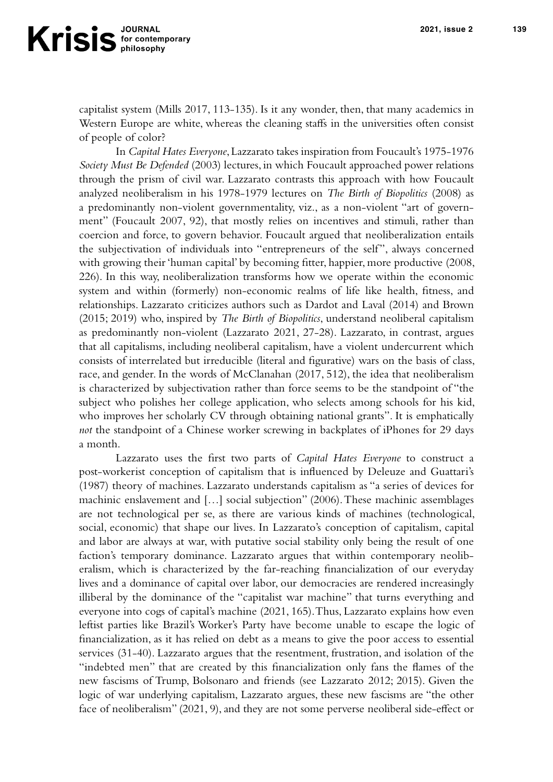capitalist system (Mills 2017, 113-135). Is it any wonder, then, that many academics in Western Europe are white, whereas the cleaning staffs in the universities often consist of people of color?

In *Capital Hates Everyone*, Lazzarato takes inspiration from Foucault's 1975-1976 *Society Must Be Defended* (2003) lectures, in which Foucault approached power relations through the prism of civil war. Lazzarato contrasts this approach with how Foucault analyzed neoliberalism in his 1978-1979 lectures on *The Birth of Biopolitics* (2008) as a predominantly non-violent governmentality, viz., as a non-violent "art of government" (Foucault 2007, 92), that mostly relies on incentives and stimuli, rather than coercion and force, to govern behavior. Foucault argued that neoliberalization entails the subjectivation of individuals into "entrepreneurs of the self", always concerned with growing their 'human capital' by becoming fitter, happier, more productive (2008, 226). In this way, neoliberalization transforms how we operate within the economic system and within (formerly) non-economic realms of life like health, fitness, and relationships. Lazzarato criticizes authors such as Dardot and Laval (2014) and Brown (2015; 2019) who, inspired by *The Birth of Biopolitics*, understand neoliberal capitalism as predominantly non-violent (Lazzarato 2021, 27-28). Lazzarato, in contrast, argues that all capitalisms, including neoliberal capitalism, have a violent undercurrent which consists of interrelated but irreducible (literal and figurative) wars on the basis of class, race, and gender. In the words of McClanahan (2017, 512), the idea that neoliberalism is characterized by subjectivation rather than force seems to be the standpoint of "the subject who polishes her college application, who selects among schools for his kid, who improves her scholarly CV through obtaining national grants". It is emphatically *not* the standpoint of a Chinese worker screwing in backplates of iPhones for 29 days a month.

Lazzarato uses the first two parts of *Capital Hates Everyone* to construct a post-workerist conception of capitalism that is influenced by Deleuze and Guattari's (1987) theory of machines. Lazzarato understands capitalism as "a series of devices for machinic enslavement and […] social subjection" (2006). These machinic assemblages are not technological per se, as there are various kinds of machines (technological, social, economic) that shape our lives. In Lazzarato's conception of capitalism, capital and labor are always at war, with putative social stability only being the result of one faction's temporary dominance. Lazzarato argues that within contemporary neoliberalism, which is characterized by the far-reaching financialization of our everyday lives and a dominance of capital over labor, our democracies are rendered increasingly illiberal by the dominance of the "capitalist war machine" that turns everything and everyone into cogs of capital's machine (2021, 165). Thus, Lazzarato explains how even leftist parties like Brazil's Worker's Party have become unable to escape the logic of financialization, as it has relied on debt as a means to give the poor access to essential services (31-40). Lazzarato argues that the resentment, frustration, and isolation of the "indebted men" that are created by this financialization only fans the flames of the new fascisms of Trump, Bolsonaro and friends (see Lazzarato 2012; 2015). Given the logic of war underlying capitalism, Lazzarato argues, these new fascisms are "the other face of neoliberalism" (2021, 9), and they are not some perverse neoliberal side-effect or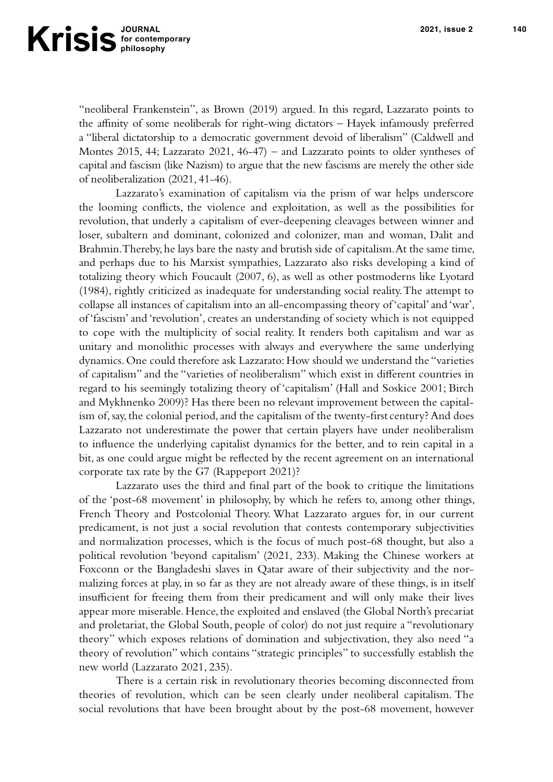"neoliberal Frankenstein", as Brown (2019) argued. In this regard, Lazzarato points to the affinity of some neoliberals for right-wing dictators  $-$  Hayek infamously preferred a "liberal dictatorship to a democratic government devoid of liberalism" (Caldwell and Montes 2015, 44; Lazzarato 2021, 46-47) – and Lazzarato points to older syntheses of capital and fascism (like Nazism) to argue that the new fascisms are merely the other side of neoliberalization (2021, 41-46).

Lazzarato's examination of capitalism via the prism of war helps underscore the looming conflicts, the violence and exploitation, as well as the possibilities for revolution, that underly a capitalism of ever-deepening cleavages between winner and loser, subaltern and dominant, colonized and colonizer, man and woman, Dalit and Brahmin. Thereby, he lays bare the nasty and brutish side of capitalism. At the same time, and perhaps due to his Marxist sympathies, Lazzarato also risks developing a kind of totalizing theory which Foucault (2007, 6), as well as other postmoderns like Lyotard (1984), rightly criticized as inadequate for understanding social reality. The attempt to collapse all instances of capitalism into an all-encompassing theory of 'capital' and 'war', of 'fascism' and 'revolution', creates an understanding of society which is not equipped to cope with the multiplicity of social reality. It renders both capitalism and war as unitary and monolithic processes with always and everywhere the same underlying dynamics. One could therefore ask Lazzarato: How should we understand the "varieties of capitalism" and the "varieties of neoliberalism" which exist in different countries in regard to his seemingly totalizing theory of 'capitalism' (Hall and Soskice 2001; Birch and Mykhnenko 2009)? Has there been no relevant improvement between the capitalism of, say, the colonial period, and the capitalism of the twenty-first century? And does Lazzarato not underestimate the power that certain players have under neoliberalism to influence the underlying capitalist dynamics for the better, and to rein capital in a bit, as one could argue might be reflected by the recent agreement on an international corporate tax rate by the G7 (Rappeport 2021)?

Lazzarato uses the third and final part of the book to critique the limitations of the 'post-68 movement' in philosophy, by which he refers to, among other things, French Theory and Postcolonial Theory. What Lazzarato argues for, in our current predicament, is not just a social revolution that contests contemporary subjectivities and normalization processes, which is the focus of much post-68 thought, but also a political revolution 'beyond capitalism' (2021, 233). Making the Chinese workers at Foxconn or the Bangladeshi slaves in Qatar aware of their subjectivity and the normalizing forces at play, in so far as they are not already aware of these things, is in itself insufficient for freeing them from their predicament and will only make their lives appear more miserable. Hence, the exploited and enslaved (the Global North's precariat and proletariat, the Global South, people of color) do not just require a "revolutionary theory" which exposes relations of domination and subjectivation, they also need "a theory of revolution" which contains "strategic principles" to successfully establish the new world (Lazzarato 2021, 235).

There is a certain risk in revolutionary theories becoming disconnected from theories of revolution, which can be seen clearly under neoliberal capitalism. The social revolutions that have been brought about by the post-68 movement, however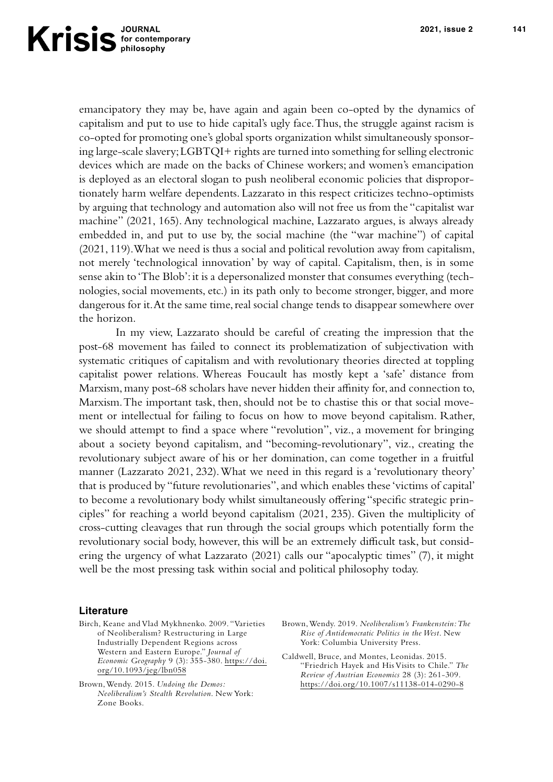emancipatory they may be, have again and again been co-opted by the dynamics of capitalism and put to use to hide capital's ugly face. Thus, the struggle against racism is co-opted for promoting one's global sports organization whilst simultaneously sponsoring large-scale slavery; LGBTQI+ rights are turned into something for selling electronic devices which are made on the backs of Chinese workers; and women's emancipation is deployed as an electoral slogan to push neoliberal economic policies that disproportionately harm welfare dependents. Lazzarato in this respect criticizes techno-optimists by arguing that technology and automation also will not free us from the "capitalist war machine" (2021, 165). Any technological machine, Lazzarato argues, is always already embedded in, and put to use by, the social machine (the "war machine") of capital (2021, 119). What we need is thus a social and political revolution away from capitalism, not merely 'technological innovation' by way of capital. Capitalism, then, is in some sense akin to 'The Blob': it is a depersonalized monster that consumes everything (technologies, social movements, etc.) in its path only to become stronger, bigger, and more dangerous for it. At the same time, real social change tends to disappear somewhere over the horizon.

In my view, Lazzarato should be careful of creating the impression that the post-68 movement has failed to connect its problematization of subjectivation with systematic critiques of capitalism and with revolutionary theories directed at toppling capitalist power relations. Whereas Foucault has mostly kept a 'safe' distance from Marxism, many post-68 scholars have never hidden their affinity for, and connection to, Marxism. The important task, then, should not be to chastise this or that social movement or intellectual for failing to focus on how to move beyond capitalism. Rather, we should attempt to find a space where "revolution", viz., a movement for bringing about a society beyond capitalism, and "becoming-revolutionary", viz., creating the revolutionary subject aware of his or her domination, can come together in a fruitful manner (Lazzarato 2021, 232). What we need in this regard is a 'revolutionary theory' that is produced by "future revolutionaries", and which enables these 'victims of capital' to become a revolutionary body whilst simultaneously offering "specific strategic principles" for reaching a world beyond capitalism (2021, 235). Given the multiplicity of cross-cutting cleavages that run through the social groups which potentially form the revolutionary social body, however, this will be an extremely difficult task, but considering the urgency of what Lazzarato (2021) calls our "apocalyptic times" (7), it might well be the most pressing task within social and political philosophy today.

## **Literature**

- Birch, Keane and Vlad Mykhnenko. 2009. "Varieties of Neoliberalism? Restructuring in Large Industrially Dependent Regions across Western and Eastern Europe." *Journal of Economic Geography* 9 (3): 355-380. [https://doi.](https://doi.org/10.1093/jeg/lbn058) [org/10.1093/jeg/lbn058](https://doi.org/10.1093/jeg/lbn058)
- Brown, Wendy. 2015. *Undoing the Demos: Neoliberalism's Stealth Revolution*. New York: Zone Books.
- Brown, Wendy. 2019. *Neoliberalism's Frankenstein: The Rise of Antidemocratic Politics in the West*. New York: Columbia University Press.
- Caldwell, Bruce, and Montes, Leonidas. 2015. "Friedrich Hayek and His Visits to Chile." *The Review of Austrian Economics* 28 (3): 261-309. <https://doi.org/10.1007/s11138-014-0290-8>